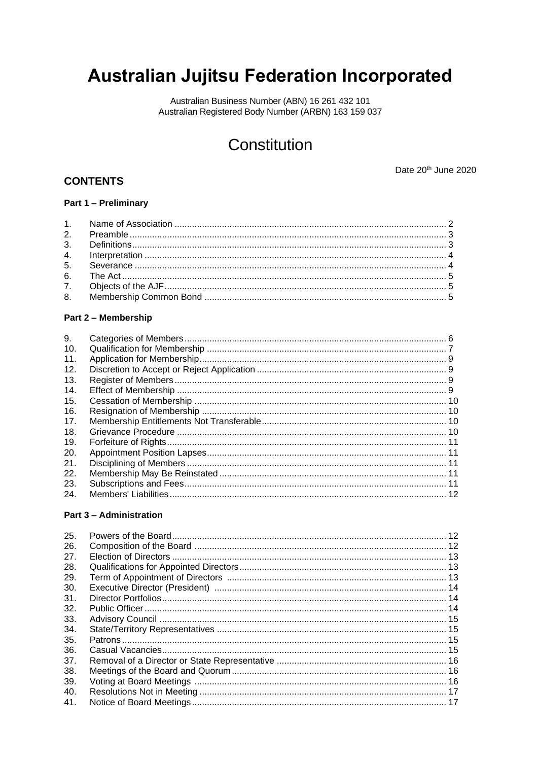# **Australian Jujitsu Federation Incorporated**

Australian Business Number (ABN) 16 261 432 101 Australian Registered Body Number (ARBN) 163 159 037

# Constitution

# **CONTENTS**

Date 20th June 2020

# Part 1 - Preliminary

# Part 2 - Membership

| 9.  |  |
|-----|--|
| 10. |  |
| 11. |  |
| 12. |  |
| 13. |  |
| 14. |  |
| 15. |  |
| 16. |  |
| 17. |  |
| 18. |  |
| 19. |  |
| 20. |  |
| 21. |  |
| 22. |  |
| 23. |  |
| 24. |  |
|     |  |

#### **Part 3 - Administration**

| 25. |  |
|-----|--|
| 26. |  |
| 27. |  |
| 28. |  |
| 29. |  |
| 30. |  |
| 31. |  |
| 32. |  |
| 33. |  |
| 34. |  |
| 35. |  |
| 36. |  |
| 37. |  |
| 38. |  |
| 39. |  |
| 40. |  |
| 41. |  |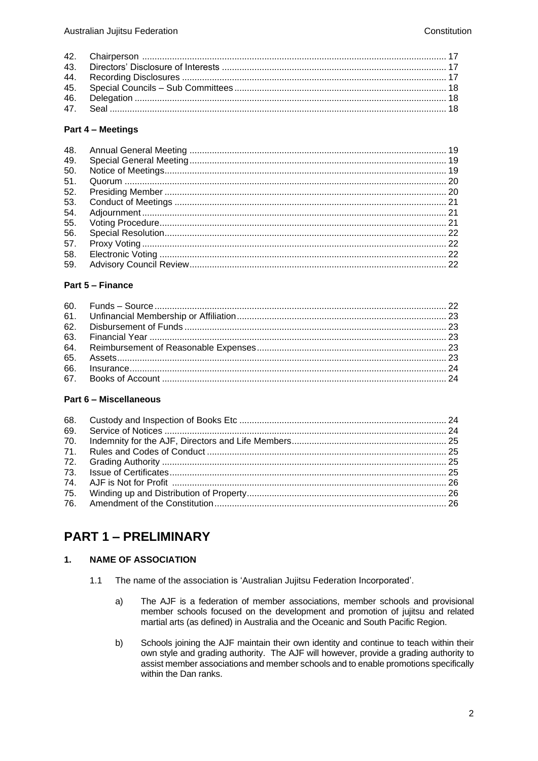#### Part 4 - Meetings

| 48. |  |
|-----|--|
| 49. |  |
| 50. |  |
| 51. |  |
| 52. |  |
| 53. |  |
| 54. |  |
| 55. |  |
| 56. |  |
| 57. |  |
| 58. |  |
| 59. |  |

# Part 5 - Finance

# Part 6 - Miscellaneous

# **PART 1 - PRELIMINARY**

#### $1.$ **NAME OF ASSOCIATION**

- $1.1$ The name of the association is 'Australian Jujitsu Federation Incorporated'.
	- The AJF is a federation of member associations, member schools and provisional  $a)$ member schools focused on the development and promotion of jujitsu and related martial arts (as defined) in Australia and the Oceanic and South Pacific Region.
	- b) Schools joining the AJF maintain their own identity and continue to teach within their own style and grading authority. The AJF will however, provide a grading authority to assist member associations and member schools and to enable promotions specifically within the Dan ranks.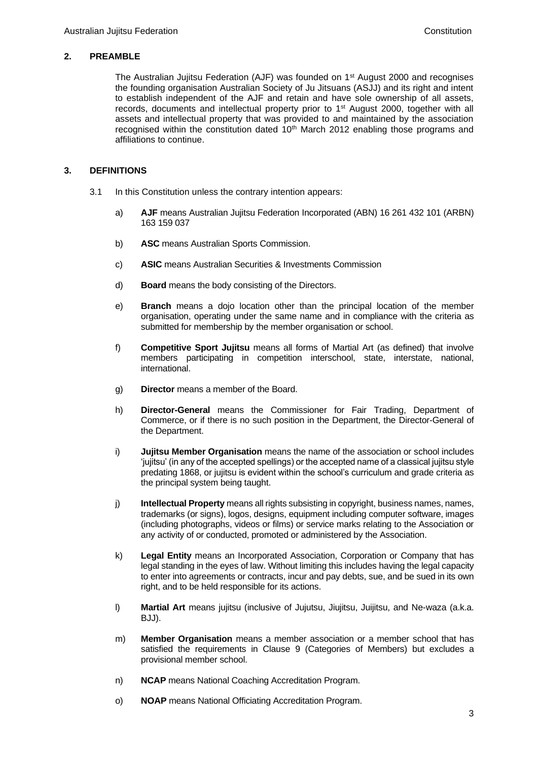# **2. PREAMBLE**

The Australian Jujitsu Federation (AJF) was founded on 1st August 2000 and recognises the founding organisation Australian Society of Ju Jitsuans (ASJJ) and its right and intent to establish independent of the AJF and retain and have sole ownership of all assets, records, documents and intellectual property prior to  $1<sup>st</sup>$  August 2000, together with all assets and intellectual property that was provided to and maintained by the association recognised within the constitution dated  $10<sup>th</sup>$  March 2012 enabling those programs and affiliations to continue.

# **3. DEFINITIONS**

- 3.1 In this Constitution unless the contrary intention appears:
	- a) **AJF** means Australian Jujitsu Federation Incorporated (ABN) 16 261 432 101 (ARBN) 163 159 037
	- b) **ASC** means Australian Sports Commission.
	- c) **ASIC** means Australian Securities & Investments Commission
	- d) **Board** means the body consisting of the Directors.
	- e) **Branch** means a dojo location other than the principal location of the member organisation, operating under the same name and in compliance with the criteria as submitted for membership by the member organisation or school.
	- f) **Competitive Sport Jujitsu** means all forms of Martial Art (as defined) that involve members participating in competition interschool, state, interstate, national, international.
	- g) **Director** means a member of the Board.
	- h) **Director-General** means the Commissioner for Fair Trading, Department of Commerce, or if there is no such position in the Department, the Director-General of the Department.
	- i) **Jujitsu Member Organisation** means the name of the association or school includes 'jujitsu' (in any of the accepted spellings) or the accepted name of a classical jujitsu style predating 1868, or jujitsu is evident within the school's curriculum and grade criteria as the principal system being taught.
	- j) **Intellectual Property** means all rights subsisting in copyright, business names, names, trademarks (or signs), logos, designs, equipment including computer software, images (including photographs, videos or films) or service marks relating to the Association or any activity of or conducted, promoted or administered by the Association.
	- k) **Legal Entity** means an Incorporated Association, Corporation or Company that has legal standing in the eyes of law. Without limiting this includes having the legal capacity to enter into agreements or contracts, incur and pay debts, sue, and be sued in its own right, and to be held responsible for its actions.
	- l) **Martial Art** means jujitsu (inclusive of Jujutsu, Jiujitsu, Juijitsu, and Ne-waza (a.k.a. BJJ).
	- m) **Member Organisation** means a member association or a member school that has satisfied the requirements in Clause 9 (Categories of Members) but excludes a provisional member school.
	- n) **NCAP** means National Coaching Accreditation Program.
	- o) **NOAP** means National Officiating Accreditation Program.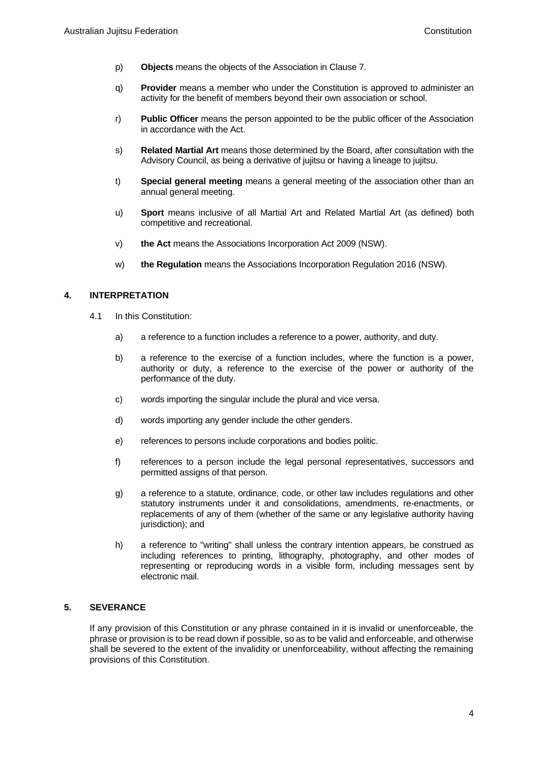- p) **Objects** means the objects of the Association in Clause 7.
- q) **Provider** means a member who under the Constitution is approved to administer an activity for the benefit of members beyond their own association or school.
- r) **Public Officer** means the person appointed to be the public officer of the Association in accordance with the Act.
- s) **Related Martial Art** means those determined by the Board, after consultation with the Advisory Council, as being a derivative of jujitsu or having a lineage to jujitsu.
- t) **Special general meeting** means a general meeting of the association other than an annual general meeting.
- u) **Sport** means inclusive of all Martial Art and Related Martial Art (as defined) both competitive and recreational.
- v) **the Act** means th[e Associations Incorporation Act 2009](http://www.legislation.nsw.gov.au/xref/inforce/?xref=Type%3Dact%20AND%20Year%3D2009%20AND%20no%3D7&nohits=y) (NSW).
- w) **the Regulation** means the [Associations Incorporation Regulation 2](http://www.legislation.nsw.gov.au/xref/inforce/?xref=Type%3Dsubordleg%20AND%20Year%3D2010%20AND%20No%3D238&nohits=y)016 (NSW).

# **4. INTERPRETATION**

- 4.1 In this Constitution:
	- a) a reference to a function includes a reference to a power, authority, and duty.
	- b) a reference to the exercise of a function includes, where the function is a power, authority or duty, a reference to the exercise of the power or authority of the performance of the duty.
	- c) words importing the singular include the plural and vice versa.
	- d) words importing any gender include the other genders.
	- e) references to persons include corporations and bodies politic.
	- f) references to a person include the legal personal representatives, successors and permitted assigns of that person.
	- g) a reference to a statute, ordinance, code, or other law includes regulations and other statutory instruments under it and consolidations, amendments, re-enactments, or replacements of any of them (whether of the same or any legislative authority having jurisdiction); and
	- h) a reference to "writing" shall unless the contrary intention appears, be construed as including references to printing, lithography, photography, and other modes of representing or reproducing words in a visible form, including messages sent by electronic mail.

# **5. SEVERANCE**

If any provision of this Constitution or any phrase contained in it is invalid or unenforceable, the phrase or provision is to be read down if possible, so as to be valid and enforceable, and otherwise shall be severed to the extent of the invalidity or unenforceability, without affecting the remaining provisions of this Constitution.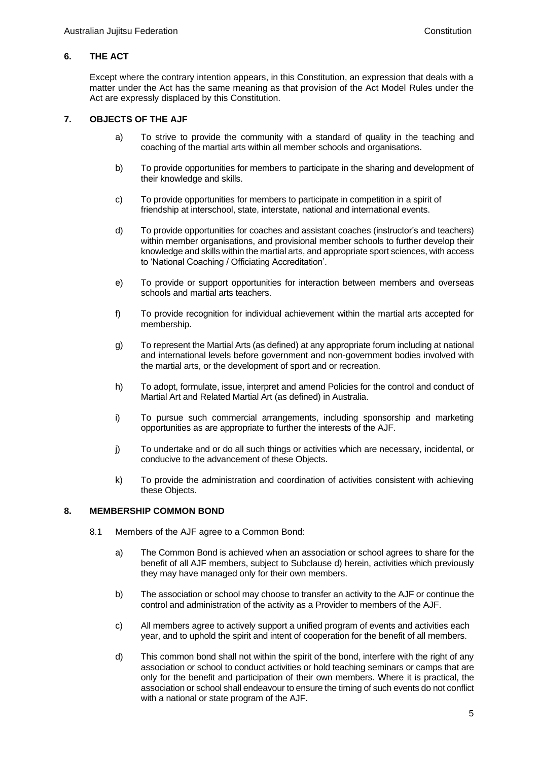# **6. THE ACT**

Except where the contrary intention appears, in this Constitution, an expression that deals with a matter under the Act has the same meaning as that provision of the Act Model Rules under the Act are expressly displaced by this Constitution.

### **7. OBJECTS OF THE AJF**

- a) To strive to provide the community with a standard of quality in the teaching and coaching of the martial arts within all member schools and organisations.
- b) To provide opportunities for members to participate in the sharing and development of their knowledge and skills.
- c) To provide opportunities for members to participate in competition in a spirit of friendship at interschool, state, interstate, national and international events.
- d) To provide opportunities for coaches and assistant coaches (instructor's and teachers) within member organisations, and provisional member schools to further develop their knowledge and skills within the martial arts, and appropriate sport sciences, with access to 'National Coaching / Officiating Accreditation'.
- e) To provide or support opportunities for interaction between members and overseas schools and martial arts teachers.
- f) To provide recognition for individual achievement within the martial arts accepted for membership.
- g) To represent the Martial Arts (as defined) at any appropriate forum including at national and international levels before government and non-government bodies involved with the martial arts, or the development of sport and or recreation.
- h) To adopt, formulate, issue, interpret and amend Policies for the control and conduct of Martial Art and Related Martial Art (as defined) in Australia.
- i) To pursue such commercial arrangements, including sponsorship and marketing opportunities as are appropriate to further the interests of the AJF.
- j) To undertake and or do all such things or activities which are necessary, incidental, or conducive to the advancement of these Objects.
- k) To provide the administration and coordination of activities consistent with achieving these Objects.

#### **8. MEMBERSHIP COMMON BOND**

- 8.1 Members of the AJF agree to a Common Bond:
	- a) The Common Bond is achieved when an association or school agrees to share for the benefit of all AJF members, subject to Subclause d) herein, activities which previously they may have managed only for their own members.
	- b) The association or school may choose to transfer an activity to the AJF or continue the control and administration of the activity as a Provider to members of the AJF.
	- c) All members agree to actively support a unified program of events and activities each year, and to uphold the spirit and intent of cooperation for the benefit of all members.
	- d) This common bond shall not within the spirit of the bond, interfere with the right of any association or school to conduct activities or hold teaching seminars or camps that are only for the benefit and participation of their own members. Where it is practical, the association or school shall endeavour to ensure the timing of such events do not conflict with a national or state program of the AJF.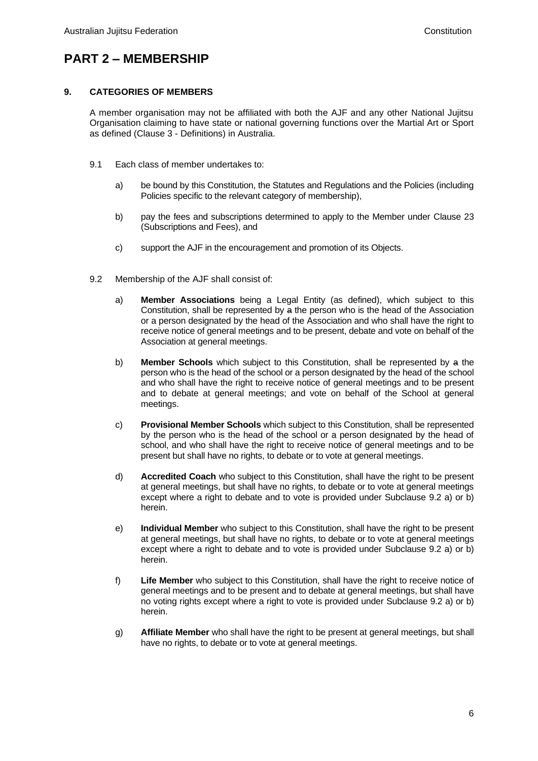# **PART 2 – MEMBERSHIP**

# **9. CATEGORIES OF MEMBERS**

A member organisation may not be affiliated with both the AJF and any other National Jujitsu Organisation claiming to have state or national governing functions over the Martial Art or Sport as defined (Clause 3 - Definitions) in Australia.

- 9.1 Each class of member undertakes to:
	- a) be bound by this Constitution, the Statutes and Regulations and the Policies (including Policies specific to the relevant category of membership),
	- b) pay the fees and subscriptions determined to apply to the Member under Clause 23 (Subscriptions and Fees), and
	- c) support the AJF in the encouragement and promotion of its Objects.
- 9.2 Membership of the AJF shall consist of:
	- a) **Member Associations** being a Legal Entity (as defined), which subject to this Constitution, shall be represented by a the person who is the head of the Association or a person designated by the head of the Association and who shall have the right to receive notice of general meetings and to be present, debate and vote on behalf of the Association at general meetings.
	- b) **Member Schools** which subject to this Constitution, shall be represented by a the person who is the head of the school or a person designated by the head of the school and who shall have the right to receive notice of general meetings and to be present and to debate at general meetings; and vote on behalf of the School at general meetings.
	- c) **Provisional Member Schools** which subject to this Constitution, shall be represented by the person who is the head of the school or a person designated by the head of school, and who shall have the right to receive notice of general meetings and to be present but shall have no rights, to debate or to vote at general meetings.
	- d) **Accredited Coach** who subject to this Constitution, shall have the right to be present at general meetings, but shall have no rights, to debate or to vote at general meetings except where a right to debate and to vote is provided under Subclause 9.2 a) or b) herein.
	- e) **Individual Member** who subject to this Constitution, shall have the right to be present at general meetings, but shall have no rights, to debate or to vote at general meetings except where a right to debate and to vote is provided under Subclause 9.2 a) or b) herein.
	- f) **Life Member** who subject to this Constitution, shall have the right to receive notice of general meetings and to be present and to debate at general meetings, but shall have no voting rights except where a right to vote is provided under Subclause 9.2 a) or b) herein.
	- g) **Affiliate Member** who shall have the right to be present at general meetings, but shall have no rights, to debate or to vote at general meetings.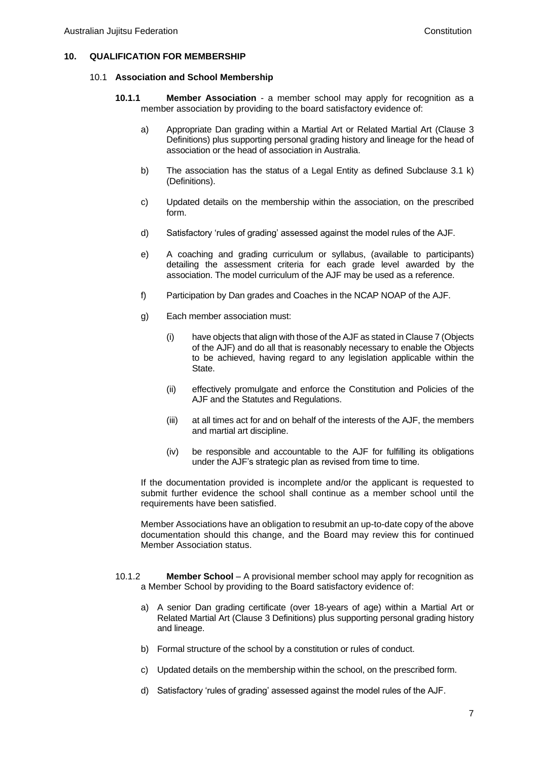### **10. QUALIFICATION FOR MEMBERSHIP**

#### 10.1 **Association and School Membership**

- **10.1.1 Member Association** a member school may apply for recognition as a member association by providing to the board satisfactory evidence of:
	- a) Appropriate Dan grading within a Martial Art or Related Martial Art (Clause 3 Definitions) plus supporting personal grading history and lineage for the head of association or the head of association in Australia.
	- b) The association has the status of a Legal Entity as defined Subclause 3.1 k) (Definitions).
	- c) Updated details on the membership within the association, on the prescribed form.
	- d) Satisfactory 'rules of grading' assessed against the model rules of the AJF.
	- e) A coaching and grading curriculum or syllabus, (available to participants) detailing the assessment criteria for each grade level awarded by the association. The model curriculum of the AJF may be used as a reference.
	- f) Participation by Dan grades and Coaches in the NCAP NOAP of the AJF.
	- g) Each member association must:
		- (i) have objects that align with those of the AJF as stated in Clause 7 (Objects of the AJF) and do all that is reasonably necessary to enable the Objects to be achieved, having regard to any legislation applicable within the State.
		- (ii) effectively promulgate and enforce the Constitution and Policies of the AJF and the Statutes and Regulations.
		- (iii) at all times act for and on behalf of the interests of the AJF, the members and martial art discipline.
		- (iv) be responsible and accountable to the AJF for fulfilling its obligations under the AJF's strategic plan as revised from time to time.

If the documentation provided is incomplete and/or the applicant is requested to submit further evidence the school shall continue as a member school until the requirements have been satisfied.

Member Associations have an obligation to resubmit an up-to-date copy of the above documentation should this change, and the Board may review this for continued Member Association status.

- 10.1.2 **Member School** A provisional member school may apply for recognition as a Member School by providing to the Board satisfactory evidence of:
	- a) A senior Dan grading certificate (over 18-years of age) within a Martial Art or Related Martial Art (Clause 3 Definitions) plus supporting personal grading history and lineage.
	- b) Formal structure of the school by a constitution or rules of conduct.
	- c) Updated details on the membership within the school, on the prescribed form.
	- d) Satisfactory 'rules of grading' assessed against the model rules of the AJF.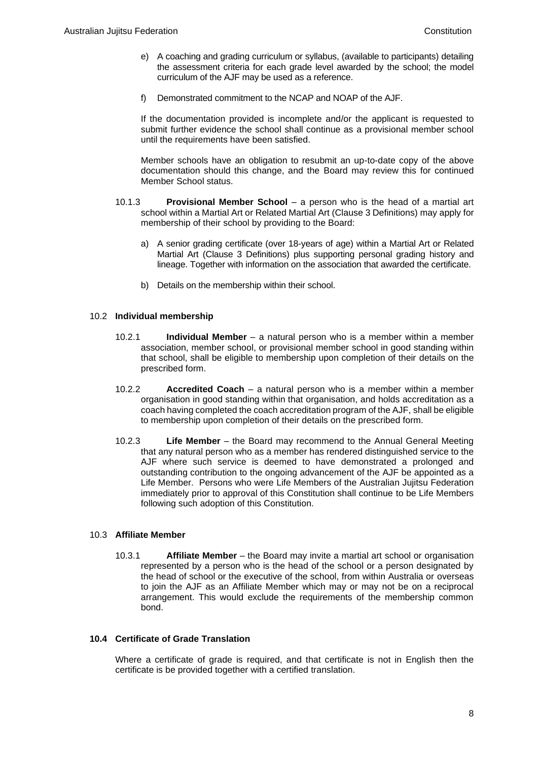- e) A coaching and grading curriculum or syllabus, (available to participants) detailing the assessment criteria for each grade level awarded by the school; the model curriculum of the AJF may be used as a reference.
- f) Demonstrated commitment to the NCAP and NOAP of the AJF.

If the documentation provided is incomplete and/or the applicant is requested to submit further evidence the school shall continue as a provisional member school until the requirements have been satisfied.

Member schools have an obligation to resubmit an up-to-date copy of the above documentation should this change, and the Board may review this for continued Member School status.

- 10.1.3 **Provisional Member School** a person who is the head of a martial art school within a Martial Art or Related Martial Art (Clause 3 Definitions) may apply for membership of their school by providing to the Board:
	- a) A senior grading certificate (over 18-years of age) within a Martial Art or Related Martial Art (Clause 3 Definitions) plus supporting personal grading history and lineage. Together with information on the association that awarded the certificate.
	- b) Details on the membership within their school.

### 10.2 **Individual membership**

- 10.2.1 **Individual Member** a natural person who is a member within a member association, member school, or provisional member school in good standing within that school, shall be eligible to membership upon completion of their details on the prescribed form.
- 10.2.2 **Accredited Coach** a natural person who is a member within a member organisation in good standing within that organisation, and holds accreditation as a coach having completed the coach accreditation program of the AJF, shall be eligible to membership upon completion of their details on the prescribed form.
- 10.2.3 **Life Member** the Board may recommend to the Annual General Meeting that any natural person who as a member has rendered distinguished service to the AJF where such service is deemed to have demonstrated a prolonged and outstanding contribution to the ongoing advancement of the AJF be appointed as a Life Member. Persons who were Life Members of the Australian Jujitsu Federation immediately prior to approval of this Constitution shall continue to be Life Members following such adoption of this Constitution.

# 10.3 **Affiliate Member**

10.3.1 **Affiliate Member** – the Board may invite a martial art school or organisation represented by a person who is the head of the school or a person designated by the head of school or the executive of the school, from within Australia or overseas to join the AJF as an Affiliate Member which may or may not be on a reciprocal arrangement. This would exclude the requirements of the membership common bond.

# **10.4 Certificate of Grade Translation**

Where a certificate of grade is required, and that certificate is not in English then the certificate is be provided together with a certified translation.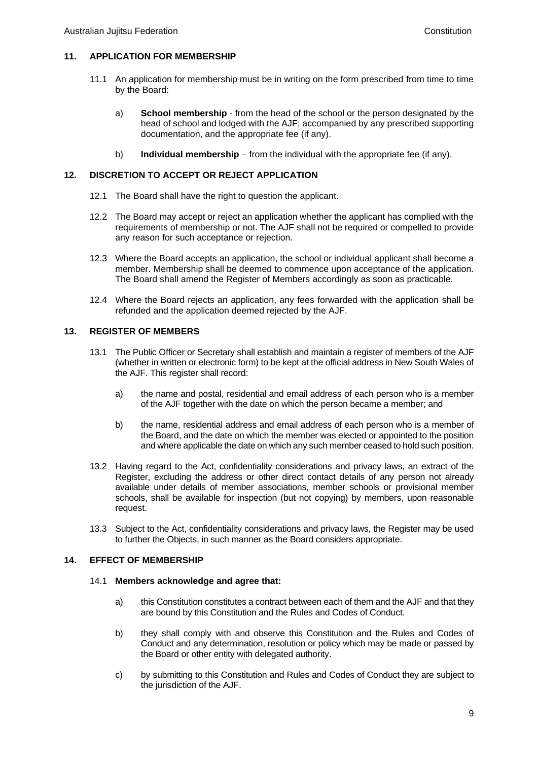# **11. APPLICATION FOR MEMBERSHIP**

- 11.1 An application for membership must be in writing on the form prescribed from time to time by the Board:
	- a) **School membership** from the head of the school or the person designated by the head of school and lodged with the AJF; accompanied by any prescribed supporting documentation, and the appropriate fee (if any).
	- b) **Individual membership** from the individual with the appropriate fee (if any).

# **12. DISCRETION TO ACCEPT OR REJECT APPLICATION**

- 12.1 The Board shall have the right to question the applicant.
- 12.2 The Board may accept or reject an application whether the applicant has complied with the requirements of membership or not. The AJF shall not be required or compelled to provide any reason for such acceptance or rejection.
- 12.3 Where the Board accepts an application, the school or individual applicant shall become a member. Membership shall be deemed to commence upon acceptance of the application. The Board shall amend the Register of Members accordingly as soon as practicable.
- 12.4 Where the Board rejects an application, any fees forwarded with the application shall be refunded and the application deemed rejected by the AJF.

# **13. REGISTER OF MEMBERS**

- 13.1 The Public Officer or Secretary shall establish and maintain a register of members of the AJF (whether in written or electronic form) to be kept at the official address in New South Wales of the AJF. This register shall record:
	- a) the name and postal, residential and email address of each person who is a member of the AJF together with the date on which the person became a member; and
	- b) the name, residential address and email address of each person who is a member of the Board, and the date on which the member was elected or appointed to the position and where applicable the date on which any such member ceased to hold such position.
- 13.2 Having regard to the Act, confidentiality considerations and privacy laws, an extract of the Register, excluding the address or other direct contact details of any person not already available under details of member associations, member schools or provisional member schools, shall be available for inspection (but not copying) by members, upon reasonable request.
- 13.3 Subject to the Act, confidentiality considerations and privacy laws, the Register may be used to further the Objects, in such manner as the Board considers appropriate.

# **14. EFFECT OF MEMBERSHIP**

#### 14.1 **Members acknowledge and agree that:**

- a) this Constitution constitutes a contract between each of them and the AJF and that they are bound by this Constitution and the Rules and Codes of Conduct.
- b) they shall comply with and observe this Constitution and the Rules and Codes of Conduct and any determination, resolution or policy which may be made or passed by the Board or other entity with delegated authority.
- c) by submitting to this Constitution and Rules and Codes of Conduct they are subject to the jurisdiction of the AJF.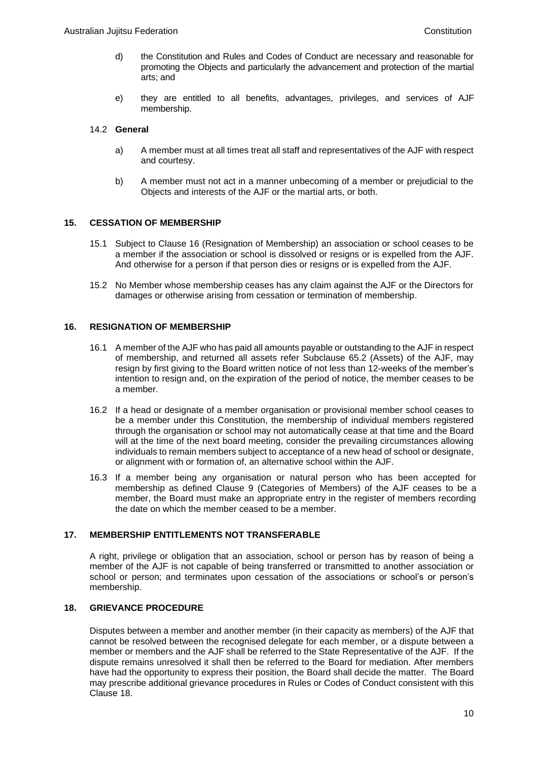- d) the Constitution and Rules and Codes of Conduct are necessary and reasonable for promoting the Objects and particularly the advancement and protection of the martial arts; and
- e) they are entitled to all benefits, advantages, privileges, and services of AJF membership.

### 14.2 **General**

- a) A member must at all times treat all staff and representatives of the AJF with respect and courtesy.
- b) A member must not act in a manner unbecoming of a member or prejudicial to the Objects and interests of the AJF or the martial arts, or both.

# **15. CESSATION OF MEMBERSHIP**

- 15.1 Subject to Clause 16 (Resignation of Membership) an association or school ceases to be a member if the association or school is dissolved or resigns or is expelled from the AJF. And otherwise for a person if that person dies or resigns or is expelled from the AJF.
- 15.2 No Member whose membership ceases has any claim against the AJF or the Directors for damages or otherwise arising from cessation or termination of membership.

#### **16. RESIGNATION OF MEMBERSHIP**

- 16.1 A member of the AJF who has paid all amounts payable or outstanding to the AJF in respect of membership, and returned all assets refer Subclause 65.2 (Assets) of the AJF, may resign by first giving to the Board written notice of not less than 12-weeks of the member's intention to resign and, on the expiration of the period of notice, the member ceases to be a member.
- 16.2 If a head or designate of a member organisation or provisional member school ceases to be a member under this Constitution, the membership of individual members registered through the organisation or school may not automatically cease at that time and the Board will at the time of the next board meeting, consider the prevailing circumstances allowing individuals to remain members subject to acceptance of a new head of school or designate. or alignment with or formation of, an alternative school within the AJF.
- 16.3 If a member being any organisation or natural person who has been accepted for membership as defined Clause 9 (Categories of Members) of the AJF ceases to be a member, the Board must make an appropriate entry in the register of members recording the date on which the member ceased to be a member.

# **17. MEMBERSHIP ENTITLEMENTS NOT TRANSFERABLE**

A right, privilege or obligation that an association, school or person has by reason of being a member of the AJF is not capable of being transferred or transmitted to another association or school or person; and terminates upon cessation of the associations or school's or person's membership.

# **18. GRIEVANCE PROCEDURE**

Disputes between a member and another member (in their capacity as members) of the AJF that cannot be resolved between the recognised delegate for each member, or a dispute between a member or members and the AJF shall be referred to the State Representative of the AJF. If the dispute remains unresolved it shall then be referred to the Board for mediation. After members have had the opportunity to express their position, the Board shall decide the matter. The Board may prescribe additional grievance procedures in Rules or Codes of Conduct consistent with this Clause 18.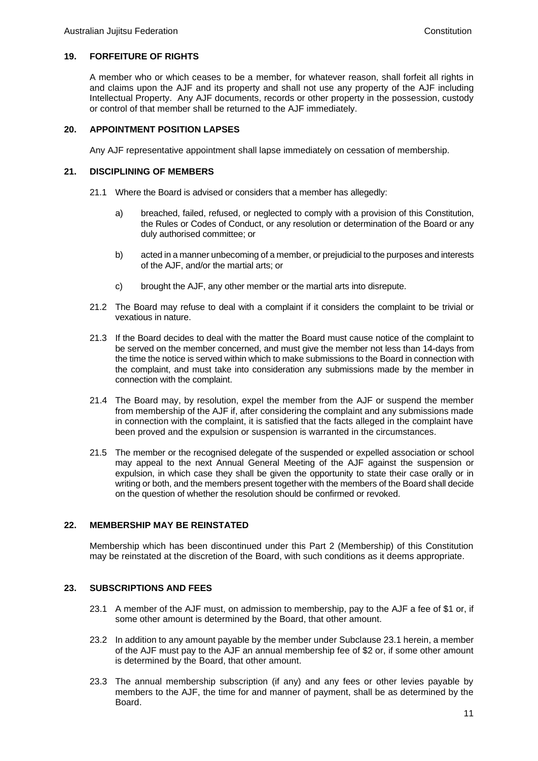# **19. FORFEITURE OF RIGHTS**

A member who or which ceases to be a member, for whatever reason, shall forfeit all rights in and claims upon the AJF and its property and shall not use any property of the AJF including Intellectual Property. Any AJF documents, records or other property in the possession, custody or control of that member shall be returned to the AJF immediately.

# **20. APPOINTMENT POSITION LAPSES**

Any AJF representative appointment shall lapse immediately on cessation of membership.

# **21. DISCIPLINING OF MEMBERS**

- 21.1 Where the Board is advised or considers that a member has allegedly:
	- a) breached, failed, refused, or neglected to comply with a provision of this Constitution, the Rules or Codes of Conduct, or any resolution or determination of the Board or any duly authorised committee; or
	- b) acted in a manner unbecoming of a member, or prejudicial to the purposes and interests of the AJF, and/or the martial arts; or
	- c) brought the AJF, any other member or the martial arts into disrepute.
- 21.2 The Board may refuse to deal with a complaint if it considers the complaint to be trivial or vexatious in nature.
- 21.3 If the Board decides to deal with the matter the Board must cause notice of the complaint to be served on the member concerned, and must give the member not less than 14-days from the time the notice is served within which to make submissions to the Board in connection with the complaint, and must take into consideration any submissions made by the member in connection with the complaint.
- 21.4 The Board may, by resolution, expel the member from the AJF or suspend the member from membership of the AJF if, after considering the complaint and any submissions made in connection with the complaint, it is satisfied that the facts alleged in the complaint have been proved and the expulsion or suspension is warranted in the circumstances.
- 21.5 The member or the recognised delegate of the suspended or expelled association or school may appeal to the next Annual General Meeting of the AJF against the suspension or expulsion, in which case they shall be given the opportunity to state their case orally or in writing or both, and the members present together with the members of the Board shall decide on the question of whether the resolution should be confirmed or revoked.

# **22. MEMBERSHIP MAY BE REINSTATED**

Membership which has been discontinued under this Part 2 (Membership) of this Constitution may be reinstated at the discretion of the Board, with such conditions as it deems appropriate.

# **23. SUBSCRIPTIONS AND FEES**

- 23.1 A member of the AJF must, on admission to membership, pay to the AJF a fee of \$1 or, if some other amount is determined by the Board, that other amount.
- 23.2 In addition to any amount payable by the member under Subclause 23.1 herein, a member of the AJF must pay to the AJF an annual membership fee of \$2 or, if some other amount is determined by the Board, that other amount.
- 23.3 The annual membership subscription (if any) and any fees or other levies payable by members to the AJF, the time for and manner of payment, shall be as determined by the Board.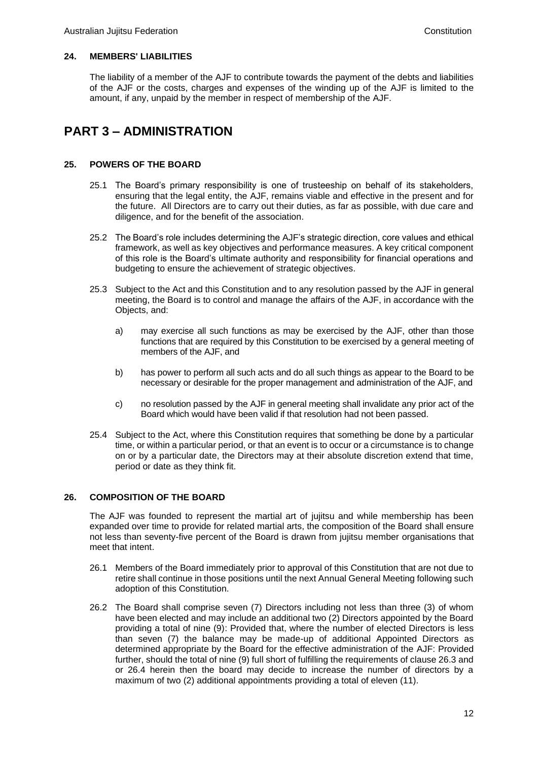# **24. MEMBERS' LIABILITIES**

The liability of a member of the AJF to contribute towards the payment of the debts and liabilities of the AJF or the costs, charges and expenses of the winding up of the AJF is limited to the amount, if any, unpaid by the member in respect of membership of the AJF.

# **PART 3 – ADMINISTRATION**

# **25. POWERS OF THE BOARD**

- 25.1 The Board's primary responsibility is one of trusteeship on behalf of its stakeholders, ensuring that the legal entity, the AJF, remains viable and effective in the present and for the future. All Directors are to carry out their duties, as far as possible, with due care and diligence, and for the benefit of the association.
- 25.2 The Board's role includes determining the AJF's strategic direction, core values and ethical framework, as well as key objectives and performance measures. A key critical component of this role is the Board's ultimate authority and responsibility for financial operations and budgeting to ensure the achievement of strategic objectives.
- 25.3 Subject to the Act and this Constitution and to any resolution passed by the AJF in general meeting, the Board is to control and manage the affairs of the AJF, in accordance with the Objects, and:
	- a) may exercise all such functions as may be exercised by the AJF, other than those functions that are required by this Constitution to be exercised by a general meeting of members of the AJF, and
	- b) has power to perform all such acts and do all such things as appear to the Board to be necessary or desirable for the proper management and administration of the AJF, and
	- c) no resolution passed by the AJF in general meeting shall invalidate any prior act of the Board which would have been valid if that resolution had not been passed.
- 25.4 Subject to the Act, where this Constitution requires that something be done by a particular time, or within a particular period, or that an event is to occur or a circumstance is to change on or by a particular date, the Directors may at their absolute discretion extend that time, period or date as they think fit.

# **26. COMPOSITION OF THE BOARD**

The AJF was founded to represent the martial art of jujitsu and while membership has been expanded over time to provide for related martial arts, the composition of the Board shall ensure not less than seventy-five percent of the Board is drawn from jujitsu member organisations that meet that intent.

- 26.1 Members of the Board immediately prior to approval of this Constitution that are not due to retire shall continue in those positions until the next Annual General Meeting following such adoption of this Constitution.
- 26.2 The Board shall comprise seven (7) Directors including not less than three (3) of whom have been elected and may include an additional two (2) Directors appointed by the Board providing a total of nine (9): Provided that, where the number of elected Directors is less than seven (7) the balance may be made-up of additional Appointed Directors as determined appropriate by the Board for the effective administration of the AJF: Provided further, should the total of nine (9) full short of fulfilling the requirements of clause 26.3 and or 26.4 herein then the board may decide to increase the number of directors by a maximum of two (2) additional appointments providing a total of eleven (11).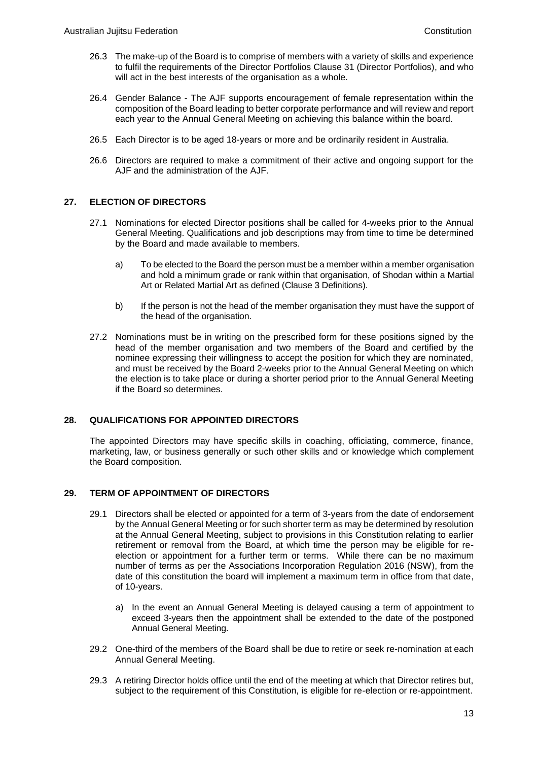- 26.3 The make-up of the Board is to comprise of members with a variety of skills and experience to fulfil the requirements of the Director Portfolios Clause 31 (Director Portfolios), and who will act in the best interests of the organisation as a whole.
- 26.4 Gender Balance The AJF supports encouragement of female representation within the composition of the Board leading to better corporate performance and will review and report each year to the Annual General Meeting on achieving this balance within the board.
- 26.5 Each Director is to be aged 18-years or more and be ordinarily resident in Australia.
- 26.6 Directors are required to make a commitment of their active and ongoing support for the AJF and the administration of the AJF.

# **27. ELECTION OF DIRECTORS**

- 27.1 Nominations for elected Director positions shall be called for 4-weeks prior to the Annual General Meeting. Qualifications and job descriptions may from time to time be determined by the Board and made available to members.
	- a) To be elected to the Board the person must be a member within a member organisation and hold a minimum grade or rank within that organisation, of Shodan within a Martial Art or Related Martial Art as defined (Clause 3 Definitions).
	- b) If the person is not the head of the member organisation they must have the support of the head of the organisation.
- 27.2 Nominations must be in writing on the prescribed form for these positions signed by the head of the member organisation and two members of the Board and certified by the nominee expressing their willingness to accept the position for which they are nominated, and must be received by the Board 2-weeks prior to the Annual General Meeting on which the election is to take place or during a shorter period prior to the Annual General Meeting if the Board so determines.

# **28. QUALIFICATIONS FOR APPOINTED DIRECTORS**

The appointed Directors may have specific skills in coaching, officiating, commerce, finance, marketing, law, or business generally or such other skills and or knowledge which complement the Board composition.

# **29. TERM OF APPOINTMENT OF DIRECTORS**

- 29.1 Directors shall be elected or appointed for a term of 3-years from the date of endorsement by the Annual General Meeting or for such shorter term as may be determined by resolution at the Annual General Meeting, subject to provisions in this Constitution relating to earlier retirement or removal from the Board, at which time the person may be eligible for reelection or appointment for a further term or terms. While there can be no maximum number of terms as per the Associations Incorporation Regulation 2016 (NSW), from the date of this constitution the board will implement a maximum term in office from that date, of 10-years.
	- a) In the event an Annual General Meeting is delayed causing a term of appointment to exceed 3-years then the appointment shall be extended to the date of the postponed Annual General Meeting.
- 29.2 One-third of the members of the Board shall be due to retire or seek re-nomination at each Annual General Meeting.
- 29.3 A retiring Director holds office until the end of the meeting at which that Director retires but, subject to the requirement of this Constitution, is eligible for re-election or re-appointment.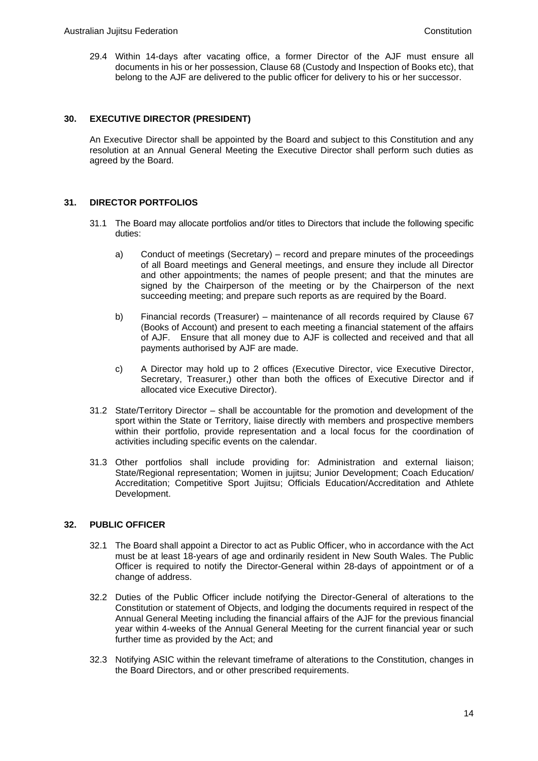29.4 Within 14-days after vacating office, a former Director of the AJF must ensure all documents in his or her possession, Clause 68 (Custody and Inspection of Books etc), that belong to the AJF are delivered to the public officer for delivery to his or her successor.

# **30. EXECUTIVE DIRECTOR (PRESIDENT)**

An Executive Director shall be appointed by the Board and subject to this Constitution and any resolution at an Annual General Meeting the Executive Director shall perform such duties as agreed by the Board.

# **31. DIRECTOR PORTFOLIOS**

- 31.1 The Board may allocate portfolios and/or titles to Directors that include the following specific duties:
	- a) Conduct of meetings (Secretary) record and prepare minutes of the proceedings of all Board meetings and General meetings, and ensure they include all Director and other appointments; the names of people present; and that the minutes are signed by the Chairperson of the meeting or by the Chairperson of the next succeeding meeting; and prepare such reports as are required by the Board.
	- b) Financial records (Treasurer) maintenance of all records required by Clause 67 (Books of Account) and present to each meeting a financial statement of the affairs of AJF. Ensure that all money due to AJF is collected and received and that all payments authorised by AJF are made.
	- c) A Director may hold up to 2 offices (Executive Director, vice Executive Director, Secretary, Treasurer,) other than both the offices of Executive Director and if allocated vice Executive Director).
- 31.2 State/Territory Director shall be accountable for the promotion and development of the sport within the State or Territory, liaise directly with members and prospective members within their portfolio, provide representation and a local focus for the coordination of activities including specific events on the calendar.
- 31.3 Other portfolios shall include providing for: Administration and external liaison; State/Regional representation; Women in jujitsu; Junior Development; Coach Education/ Accreditation; Competitive Sport Jujitsu; Officials Education/Accreditation and Athlete Development.

# **32. PUBLIC OFFICER**

- 32.1 The Board shall appoint a Director to act as Public Officer, who in accordance with the Act must be at least 18-years of age and ordinarily resident in New South Wales. The Public Officer is required to notify the Director-General within 28-days of appointment or of a change of address.
- 32.2 Duties of the Public Officer include notifying the Director-General of alterations to the Constitution or statement of Objects, and lodging the documents required in respect of the Annual General Meeting including the financial affairs of the AJF for the previous financial year within 4-weeks of the Annual General Meeting for the current financial year or such further time as provided by the Act; and
- 32.3 Notifying ASIC within the relevant timeframe of alterations to the Constitution, changes in the Board Directors, and or other prescribed requirements.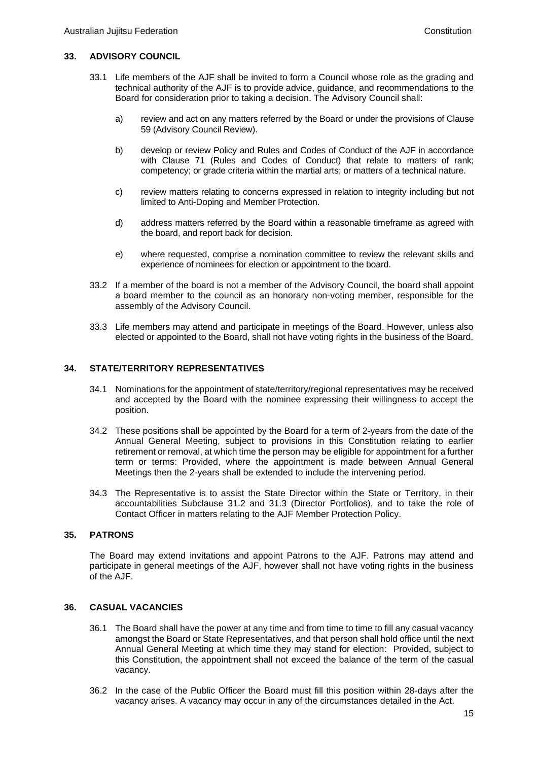#### **33. ADVISORY COUNCIL**

- 33.1 Life members of the AJF shall be invited to form a Council whose role as the grading and technical authority of the AJF is to provide advice, guidance, and recommendations to the Board for consideration prior to taking a decision. The Advisory Council shall:
	- a) review and act on any matters referred by the Board or under the provisions of Clause 59 (Advisory Council Review).
	- b) develop or review Policy and Rules and Codes of Conduct of the AJF in accordance with Clause 71 (Rules and Codes of Conduct) that relate to matters of rank; competency; or grade criteria within the martial arts; or matters of a technical nature.
	- c) review matters relating to concerns expressed in relation to integrity including but not limited to Anti-Doping and Member Protection.
	- d) address matters referred by the Board within a reasonable timeframe as agreed with the board, and report back for decision.
	- e) where requested, comprise a nomination committee to review the relevant skills and experience of nominees for election or appointment to the board.
- 33.2 If a member of the board is not a member of the Advisory Council, the board shall appoint a board member to the council as an honorary non-voting member, responsible for the assembly of the Advisory Council.
- 33.3 Life members may attend and participate in meetings of the Board. However, unless also elected or appointed to the Board, shall not have voting rights in the business of the Board.

#### **34. STATE/TERRITORY REPRESENTATIVES**

- 34.1 Nominations for the appointment of state/territory/regional representatives may be received and accepted by the Board with the nominee expressing their willingness to accept the position.
- 34.2 These positions shall be appointed by the Board for a term of 2-years from the date of the Annual General Meeting, subject to provisions in this Constitution relating to earlier retirement or removal, at which time the person may be eligible for appointment for a further term or terms: Provided, where the appointment is made between Annual General Meetings then the 2-years shall be extended to include the intervening period.
- 34.3 The Representative is to assist the State Director within the State or Territory, in their accountabilities Subclause 31.2 and 31.3 (Director Portfolios), and to take the role of Contact Officer in matters relating to the AJF Member Protection Policy.

#### **35. PATRONS**

The Board may extend invitations and appoint Patrons to the AJF. Patrons may attend and participate in general meetings of the AJF, however shall not have voting rights in the business of the AJF.

#### **36. CASUAL VACANCIES**

- 36.1 The Board shall have the power at any time and from time to time to fill any casual vacancy amongst the Board or State Representatives, and that person shall hold office until the next Annual General Meeting at which time they may stand for election: Provided, subject to this Constitution, the appointment shall not exceed the balance of the term of the casual vacancy.
- 36.2 In the case of the Public Officer the Board must fill this position within 28-days after the vacancy arises. A vacancy may occur in any of the circumstances detailed in the Act.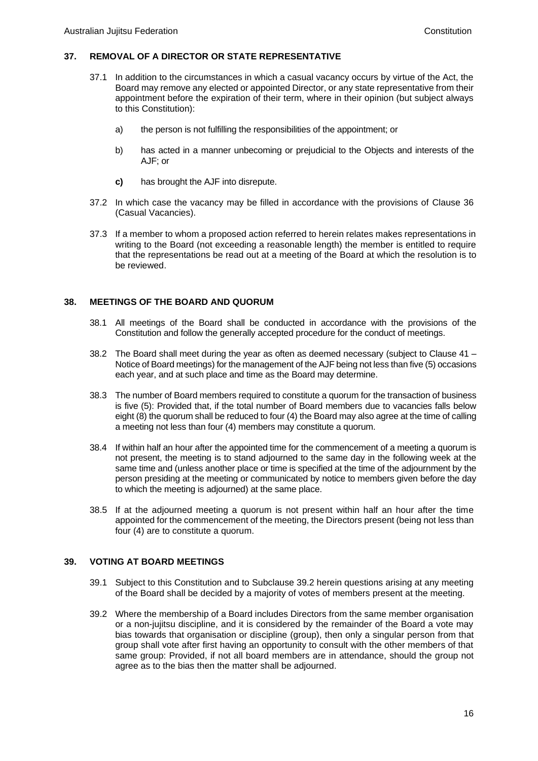#### **37. REMOVAL OF A DIRECTOR OR STATE REPRESENTATIVE**

- 37.1 In addition to the circumstances in which a casual vacancy occurs by virtue of the Act, the Board may remove any elected or appointed Director, or any state representative from their appointment before the expiration of their term, where in their opinion (but subject always to this Constitution):
	- a) the person is not fulfilling the responsibilities of the appointment; or
	- b) has acted in a manner unbecoming or prejudicial to the Objects and interests of the AJF; or
	- **c)** has brought the AJF into disrepute.
- 37.2 In which case the vacancy may be filled in accordance with the provisions of Clause 36 (Casual Vacancies).
- 37.3 If a member to whom a proposed action referred to herein relates makes representations in writing to the Board (not exceeding a reasonable length) the member is entitled to require that the representations be read out at a meeting of the Board at which the resolution is to be reviewed.

#### **38. MEETINGS OF THE BOARD AND QUORUM**

- 38.1 All meetings of the Board shall be conducted in accordance with the provisions of the Constitution and follow the generally accepted procedure for the conduct of meetings.
- 38.2 The Board shall meet during the year as often as deemed necessary (subject to Clause 41 Notice of Board meetings) for the management of the AJF being not less than five (5) occasions each year, and at such place and time as the Board may determine.
- 38.3 The number of Board members required to constitute a quorum for the transaction of business is five (5): Provided that, if the total number of Board members due to vacancies falls below eight (8) the quorum shall be reduced to four (4) the Board may also agree at the time of calling a meeting not less than four (4) members may constitute a quorum.
- 38.4 If within half an hour after the appointed time for the commencement of a meeting a quorum is not present, the meeting is to stand adjourned to the same day in the following week at the same time and (unless another place or time is specified at the time of the adjournment by the person presiding at the meeting or communicated by notice to members given before the day to which the meeting is adjourned) at the same place.
- 38.5 If at the adjourned meeting a quorum is not present within half an hour after the time appointed for the commencement of the meeting, the Directors present (being not less than four (4) are to constitute a quorum.

#### **39. VOTING AT BOARD MEETINGS**

- 39.1 Subject to this Constitution and to Subclause 39.2 herein questions arising at any meeting of the Board shall be decided by a majority of votes of members present at the meeting.
- 39.2 Where the membership of a Board includes Directors from the same member organisation or a non-jujitsu discipline, and it is considered by the remainder of the Board a vote may bias towards that organisation or discipline (group), then only a singular person from that group shall vote after first having an opportunity to consult with the other members of that same group: Provided, if not all board members are in attendance, should the group not agree as to the bias then the matter shall be adjourned.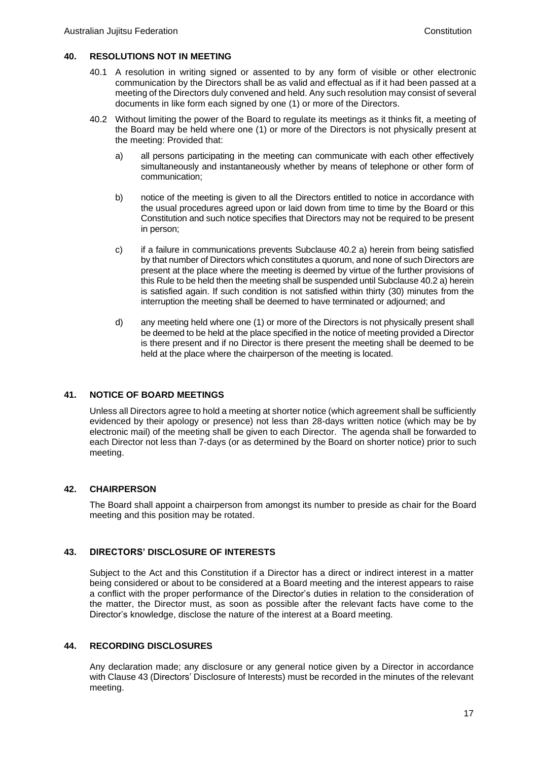### **40. RESOLUTIONS NOT IN MEETING**

- 40.1 A resolution in writing signed or assented to by any form of visible or other electronic communication by the Directors shall be as valid and effectual as if it had been passed at a meeting of the Directors duly convened and held. Any such resolution may consist of several documents in like form each signed by one (1) or more of the Directors.
- 40.2 Without limiting the power of the Board to regulate its meetings as it thinks fit, a meeting of the Board may be held where one (1) or more of the Directors is not physically present at the meeting: Provided that:
	- a) all persons participating in the meeting can communicate with each other effectively simultaneously and instantaneously whether by means of telephone or other form of communication;
	- b) notice of the meeting is given to all the Directors entitled to notice in accordance with the usual procedures agreed upon or laid down from time to time by the Board or this Constitution and such notice specifies that Directors may not be required to be present in person;
	- c) if a failure in communications prevents Subclause 40.2 a) herein from being satisfied by that number of Directors which constitutes a quorum, and none of such Directors are present at the place where the meeting is deemed by virtue of the further provisions of this Rule to be held then the meeting shall be suspended until Subclause 40.2 a) herein is satisfied again. If such condition is not satisfied within thirty (30) minutes from the interruption the meeting shall be deemed to have terminated or adjourned; and
	- d) any meeting held where one (1) or more of the Directors is not physically present shall be deemed to be held at the place specified in the notice of meeting provided a Director is there present and if no Director is there present the meeting shall be deemed to be held at the place where the chairperson of the meeting is located.

# **41. NOTICE OF BOARD MEETINGS**

Unless all Directors agree to hold a meeting at shorter notice (which agreement shall be sufficiently evidenced by their apology or presence) not less than 28-days written notice (which may be by electronic mail) of the meeting shall be given to each Director. The agenda shall be forwarded to each Director not less than 7-days (or as determined by the Board on shorter notice) prior to such meeting.

# **42. CHAIRPERSON**

The Board shall appoint a chairperson from amongst its number to preside as chair for the Board meeting and this position may be rotated.

# **43. DIRECTORS' DISCLOSURE OF INTERESTS**

Subject to the Act and this Constitution if a Director has a direct or indirect interest in a matter being considered or about to be considered at a Board meeting and the interest appears to raise a conflict with the proper performance of the Director's duties in relation to the consideration of the matter, the Director must, as soon as possible after the relevant facts have come to the Director's knowledge, disclose the nature of the interest at a Board meeting.

#### **44. RECORDING DISCLOSURES**

Any declaration made; any disclosure or any general notice given by a Director in accordance with Clause 43 (Directors' Disclosure of Interests) must be recorded in the minutes of the relevant meeting.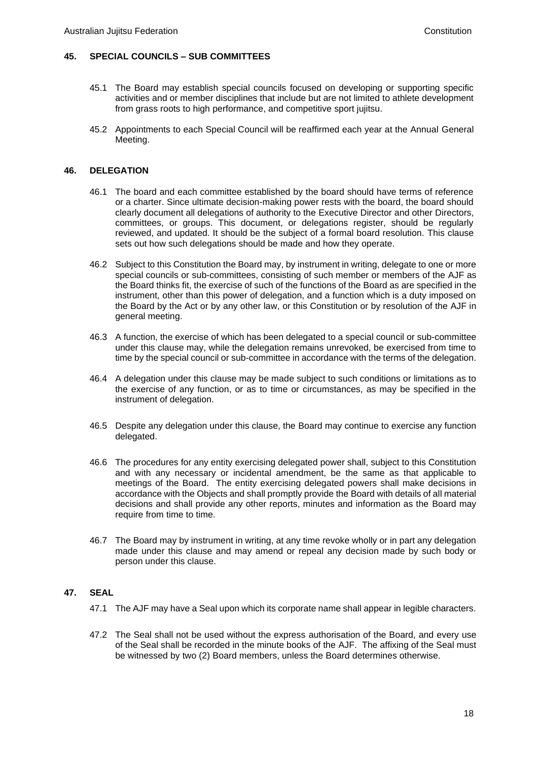# **45. SPECIAL COUNCILS – SUB COMMITTEES**

- 45.1 The Board may establish special councils focused on developing or supporting specific activities and or member disciplines that include but are not limited to athlete development from grass roots to high performance, and competitive sport jujitsu.
- 45.2 Appointments to each Special Council will be reaffirmed each year at the Annual General Meeting.

# **46. DELEGATION**

- 46.1 The board and each committee established by the board should have terms of reference or a charter. Since ultimate decision-making power rests with the board, the board should clearly document all delegations of authority to the Executive Director and other Directors, committees, or groups. This document, or delegations register, should be regularly reviewed, and updated. It should be the subject of a formal board resolution. This clause sets out how such delegations should be made and how they operate.
- 46.2 Subject to this Constitution the Board may, by instrument in writing, delegate to one or more special councils or sub-committees, consisting of such member or members of the AJF as the Board thinks fit, the exercise of such of the functions of the Board as are specified in the instrument, other than this power of delegation, and a function which is a duty imposed on the Board by the Act or by any other law, or this Constitution or by resolution of the AJF in general meeting.
- 46.3 A function, the exercise of which has been delegated to a special council or sub-committee under this clause may, while the delegation remains unrevoked, be exercised from time to time by the special council or sub-committee in accordance with the terms of the delegation.
- 46.4 A delegation under this clause may be made subject to such conditions or limitations as to the exercise of any function, or as to time or circumstances, as may be specified in the instrument of delegation.
- 46.5 Despite any delegation under this clause, the Board may continue to exercise any function delegated.
- 46.6 The procedures for any entity exercising delegated power shall, subject to this Constitution and with any necessary or incidental amendment, be the same as that applicable to meetings of the Board. The entity exercising delegated powers shall make decisions in accordance with the Objects and shall promptly provide the Board with details of all material decisions and shall provide any other reports, minutes and information as the Board may require from time to time.
- 46.7 The Board may by instrument in writing, at any time revoke wholly or in part any delegation made under this clause and may amend or repeal any decision made by such body or person under this clause.

# **47. SEAL**

- 47.1 The AJF may have a Seal upon which its corporate name shall appear in legible characters.
- 47.2 The Seal shall not be used without the express authorisation of the Board, and every use of the Seal shall be recorded in the minute books of the AJF. The affixing of the Seal must be witnessed by two (2) Board members, unless the Board determines otherwise.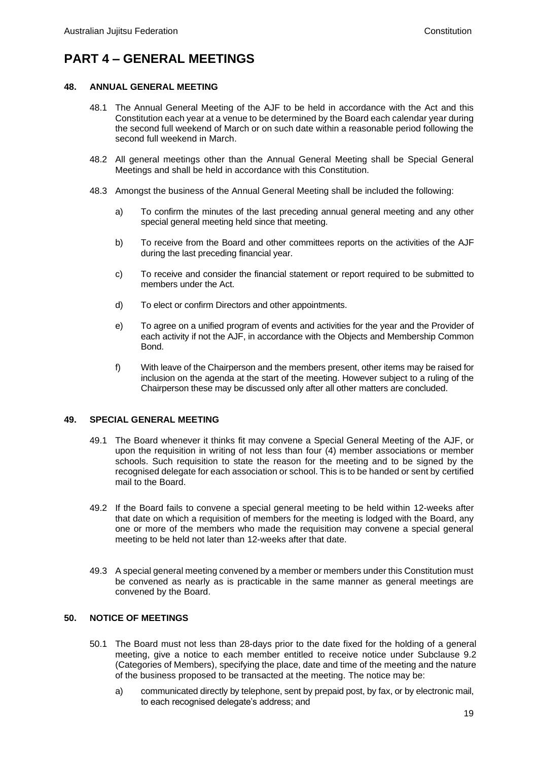# **PART 4 – GENERAL MEETINGS**

# **48. ANNUAL GENERAL MEETING**

- 48.1 The Annual General Meeting of the AJF to be held in accordance with the Act and this Constitution each year at a venue to be determined by the Board each calendar year during the second full weekend of March or on such date within a reasonable period following the second full weekend in March.
- 48.2 All general meetings other than the Annual General Meeting shall be Special General Meetings and shall be held in accordance with this Constitution.
- 48.3 Amongst the business of the Annual General Meeting shall be included the following:
	- a) To confirm the minutes of the last preceding annual general meeting and any other special general meeting held since that meeting.
	- b) To receive from the Board and other committees reports on the activities of the AJF during the last preceding financial year.
	- c) To receive and consider the financial statement or report required to be submitted to members under the Act.
	- d) To elect or confirm Directors and other appointments.
	- e) To agree on a unified program of events and activities for the year and the Provider of each activity if not the AJF, in accordance with the Objects and Membership Common Bond.
	- f) With leave of the Chairperson and the members present, other items may be raised for inclusion on the agenda at the start of the meeting. However subject to a ruling of the Chairperson these may be discussed only after all other matters are concluded.

# **49. SPECIAL GENERAL MEETING**

- 49.1 The Board whenever it thinks fit may convene a Special General Meeting of the AJF, or upon the requisition in writing of not less than four (4) member associations or member schools. Such requisition to state the reason for the meeting and to be signed by the recognised delegate for each association or school. This is to be handed or sent by certified mail to the Board.
- 49.2 If the Board fails to convene a special general meeting to be held within 12-weeks after that date on which a requisition of members for the meeting is lodged with the Board, any one or more of the members who made the requisition may convene a special general meeting to be held not later than 12-weeks after that date.
- 49.3 A special general meeting convened by a member or members under this Constitution must be convened as nearly as is practicable in the same manner as general meetings are convened by the Board.

# **50. NOTICE OF MEETINGS**

- 50.1 The Board must not less than 28-days prior to the date fixed for the holding of a general meeting, give a notice to each member entitled to receive notice under Subclause 9.2 (Categories of Members), specifying the place, date and time of the meeting and the nature of the business proposed to be transacted at the meeting. The notice may be:
	- a) communicated directly by telephone, sent by prepaid post, by fax, or by electronic mail, to each recognised delegate's address; and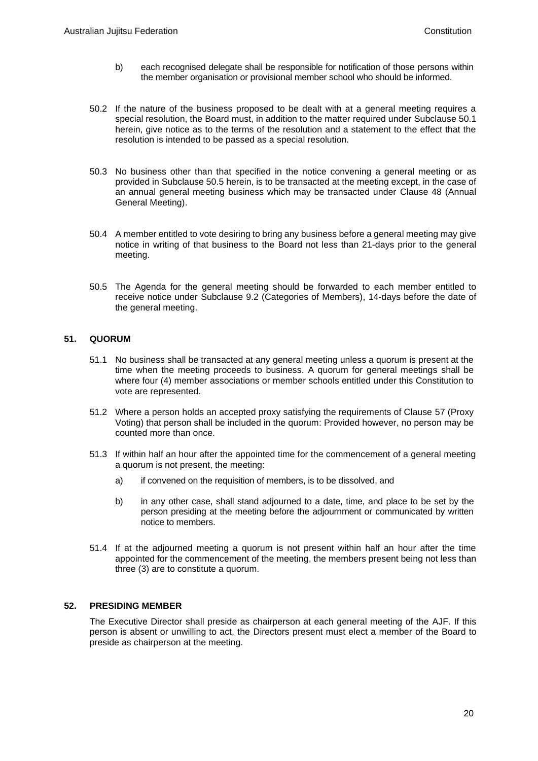- b) each recognised delegate shall be responsible for notification of those persons within the member organisation or provisional member school who should be informed.
- 50.2 If the nature of the business proposed to be dealt with at a general meeting requires a special resolution, the Board must, in addition to the matter required under Subclause 50.1 herein, give notice as to the terms of the resolution and a statement to the effect that the resolution is intended to be passed as a special resolution.
- 50.3 No business other than that specified in the notice convening a general meeting or as provided in Subclause 50.5 herein, is to be transacted at the meeting except, in the case of an annual general meeting business which may be transacted under Clause 48 (Annual General Meeting).
- 50.4 A member entitled to vote desiring to bring any business before a general meeting may give notice in writing of that business to the Board not less than 21-days prior to the general meeting.
- 50.5 The Agenda for the general meeting should be forwarded to each member entitled to receive notice under Subclause 9.2 (Categories of Members), 14-days before the date of the general meeting.

# **51. QUORUM**

- 51.1 No business shall be transacted at any general meeting unless a quorum is present at the time when the meeting proceeds to business. A quorum for general meetings shall be where four (4) member associations or member schools entitled under this Constitution to vote are represented.
- 51.2 Where a person holds an accepted proxy satisfying the requirements of Clause 57 (Proxy Voting) that person shall be included in the quorum: Provided however, no person may be counted more than once.
- 51.3 If within half an hour after the appointed time for the commencement of a general meeting a quorum is not present, the meeting:
	- a) if convened on the requisition of members, is to be dissolved, and
	- b) in any other case, shall stand adjourned to a date, time, and place to be set by the person presiding at the meeting before the adjournment or communicated by written notice to members.
- 51.4 If at the adjourned meeting a quorum is not present within half an hour after the time appointed for the commencement of the meeting, the members present being not less than three (3) are to constitute a quorum.

# **52. PRESIDING MEMBER**

The Executive Director shall preside as chairperson at each general meeting of the AJF. If this person is absent or unwilling to act, the Directors present must elect a member of the Board to preside as chairperson at the meeting.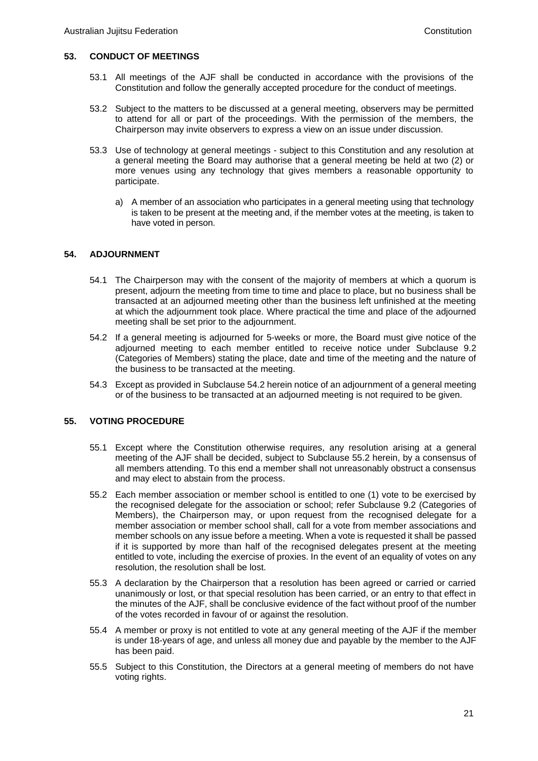# **53. CONDUCT OF MEETINGS**

- 53.1 All meetings of the AJF shall be conducted in accordance with the provisions of the Constitution and follow the generally accepted procedure for the conduct of meetings.
- 53.2 Subject to the matters to be discussed at a general meeting, observers may be permitted to attend for all or part of the proceedings. With the permission of the members, the Chairperson may invite observers to express a view on an issue under discussion.
- 53.3 Use of technology at general meetings subject to this Constitution and any resolution at a general meeting the Board may authorise that a general meeting be held at two (2) or more venues using any technology that gives members a reasonable opportunity to participate.
	- a) A member of an association who participates in a general meeting using that technology is taken to be present at the meeting and, if the member votes at the meeting, is taken to have voted in person.

# **54. ADJOURNMENT**

- 54.1 The Chairperson may with the consent of the majority of members at which a quorum is present, adjourn the meeting from time to time and place to place, but no business shall be transacted at an adjourned meeting other than the business left unfinished at the meeting at which the adjournment took place. Where practical the time and place of the adjourned meeting shall be set prior to the adjournment.
- 54.2 If a general meeting is adjourned for 5-weeks or more, the Board must give notice of the adjourned meeting to each member entitled to receive notice under Subclause 9.2 (Categories of Members) stating the place, date and time of the meeting and the nature of the business to be transacted at the meeting.
- 54.3 Except as provided in Subclause 54.2 herein notice of an adjournment of a general meeting or of the business to be transacted at an adjourned meeting is not required to be given.

# **55. VOTING PROCEDURE**

- 55.1 Except where the Constitution otherwise requires, any resolution arising at a general meeting of the AJF shall be decided, subject to Subclause 55.2 herein, by a consensus of all members attending. To this end a member shall not unreasonably obstruct a consensus and may elect to abstain from the process.
- 55.2 Each member association or member school is entitled to one (1) vote to be exercised by the recognised delegate for the association or school; refer Subclause 9.2 (Categories of Members), the Chairperson may, or upon request from the recognised delegate for a member association or member school shall, call for a vote from member associations and member schools on any issue before a meeting. When a vote is requested it shall be passed if it is supported by more than half of the recognised delegates present at the meeting entitled to vote, including the exercise of proxies. In the event of an equality of votes on any resolution, the resolution shall be lost.
- 55.3 A declaration by the Chairperson that a resolution has been agreed or carried or carried unanimously or lost, or that special resolution has been carried, or an entry to that effect in the minutes of the AJF, shall be conclusive evidence of the fact without proof of the number of the votes recorded in favour of or against the resolution.
- 55.4 A member or proxy is not entitled to vote at any general meeting of the AJF if the member is under 18-years of age, and unless all money due and payable by the member to the AJF has been paid.
- 55.5 Subject to this Constitution, the Directors at a general meeting of members do not have voting rights.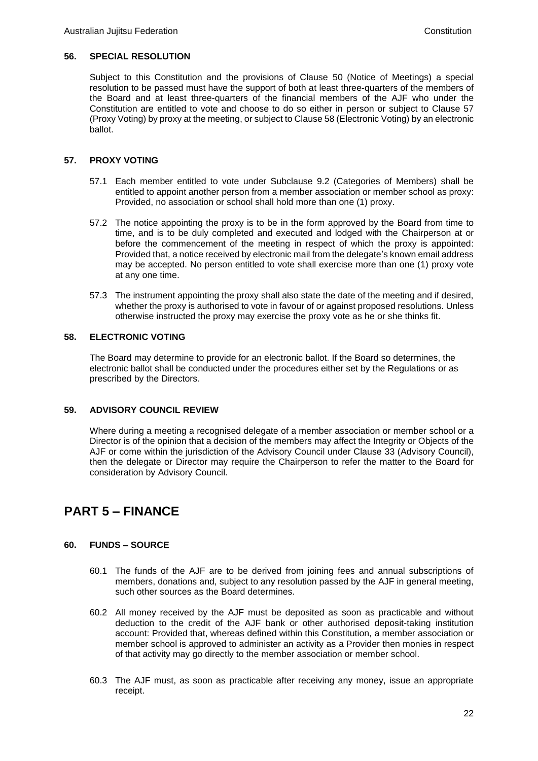#### **56. SPECIAL RESOLUTION**

Subject to this Constitution and the provisions of Clause 50 (Notice of Meetings) a special resolution to be passed must have the support of both at least three-quarters of the members of the Board and at least three-quarters of the financial members of the AJF who under the Constitution are entitled to vote and choose to do so either in person or subject to Clause 57 (Proxy Voting) by proxy at the meeting, or subject to Clause 58 (Electronic Voting) by an electronic ballot.

# **57. PROXY VOTING**

- 57.1 Each member entitled to vote under Subclause 9.2 (Categories of Members) shall be entitled to appoint another person from a member association or member school as proxy: Provided, no association or school shall hold more than one (1) proxy.
- 57.2 The notice appointing the proxy is to be in the form approved by the Board from time to time, and is to be duly completed and executed and lodged with the Chairperson at or before the commencement of the meeting in respect of which the proxy is appointed: Provided that, a notice received by electronic mail from the delegate's known email address may be accepted. No person entitled to vote shall exercise more than one (1) proxy vote at any one time.
- 57.3 The instrument appointing the proxy shall also state the date of the meeting and if desired, whether the proxy is authorised to vote in favour of or against proposed resolutions. Unless otherwise instructed the proxy may exercise the proxy vote as he or she thinks fit.

### **58. ELECTRONIC VOTING**

The Board may determine to provide for an electronic ballot. If the Board so determines, the electronic ballot shall be conducted under the procedures either set by the Regulations or as prescribed by the Directors.

# **59. ADVISORY COUNCIL REVIEW**

Where during a meeting a recognised delegate of a member association or member school or a Director is of the opinion that a decision of the members may affect the Integrity or Objects of the AJF or come within the jurisdiction of the Advisory Council under Clause 33 (Advisory Council), then the delegate or Director may require the Chairperson to refer the matter to the Board for consideration by Advisory Council.

# **PART 5 – FINANCE**

# **60. FUNDS – SOURCE**

- 60.1 The funds of the AJF are to be derived from joining fees and annual subscriptions of members, donations and, subject to any resolution passed by the AJF in general meeting, such other sources as the Board determines.
- 60.2 All money received by the AJF must be deposited as soon as practicable and without deduction to the credit of the AJF bank or other authorised deposit-taking institution account: Provided that, whereas defined within this Constitution, a member association or member school is approved to administer an activity as a Provider then monies in respect of that activity may go directly to the member association or member school.
- 60.3 The AJF must, as soon as practicable after receiving any money, issue an appropriate receipt.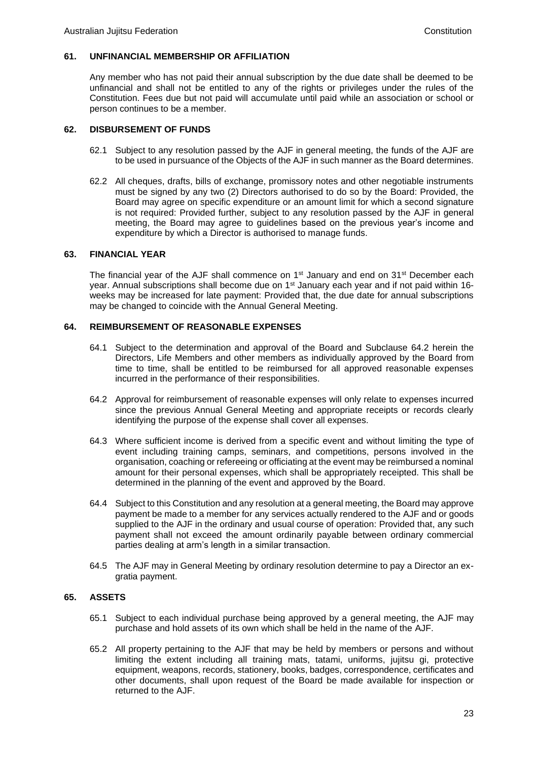# **61. UNFINANCIAL MEMBERSHIP OR AFFILIATION**

Any member who has not paid their annual subscription by the due date shall be deemed to be unfinancial and shall not be entitled to any of the rights or privileges under the rules of the Constitution. Fees due but not paid will accumulate until paid while an association or school or person continues to be a member.

### **62. DISBURSEMENT OF FUNDS**

- 62.1 Subject to any resolution passed by the AJF in general meeting, the funds of the AJF are to be used in pursuance of the Objects of the AJF in such manner as the Board determines.
- 62.2 All cheques, drafts, bills of exchange, promissory notes and other negotiable instruments must be signed by any two (2) Directors authorised to do so by the Board: Provided, the Board may agree on specific expenditure or an amount limit for which a second signature is not required: Provided further, subject to any resolution passed by the AJF in general meeting, the Board may agree to guidelines based on the previous year's income and expenditure by which a Director is authorised to manage funds.

### **63. FINANCIAL YEAR**

The financial year of the AJF shall commence on 1<sup>st</sup> January and end on 31<sup>st</sup> December each year. Annual subscriptions shall become due on 1<sup>st</sup> January each year and if not paid within 16weeks may be increased for late payment: Provided that, the due date for annual subscriptions may be changed to coincide with the Annual General Meeting.

### **64. REIMBURSEMENT OF REASONABLE EXPENSES**

- 64.1 Subject to the determination and approval of the Board and Subclause 64.2 herein the Directors, Life Members and other members as individually approved by the Board from time to time, shall be entitled to be reimbursed for all approved reasonable expenses incurred in the performance of their responsibilities.
- 64.2 Approval for reimbursement of reasonable expenses will only relate to expenses incurred since the previous Annual General Meeting and appropriate receipts or records clearly identifying the purpose of the expense shall cover all expenses.
- 64.3 Where sufficient income is derived from a specific event and without limiting the type of event including training camps, seminars, and competitions, persons involved in the organisation, coaching or refereeing or officiating at the event may be reimbursed a nominal amount for their personal expenses, which shall be appropriately receipted. This shall be determined in the planning of the event and approved by the Board.
- 64.4 Subject to this Constitution and any resolution at a general meeting, the Board may approve payment be made to a member for any services actually rendered to the AJF and or goods supplied to the AJF in the ordinary and usual course of operation: Provided that, any such payment shall not exceed the amount ordinarily payable between ordinary commercial parties dealing at arm's length in a similar transaction.
- 64.5 The AJF may in General Meeting by ordinary resolution determine to pay a Director an exgratia payment.

# **65. ASSETS**

- 65.1 Subject to each individual purchase being approved by a general meeting, the AJF may purchase and hold assets of its own which shall be held in the name of the AJF.
- 65.2 All property pertaining to the AJF that may be held by members or persons and without limiting the extent including all training mats, tatami, uniforms, jujitsu gi, protective equipment, weapons, records, stationery, books, badges, correspondence, certificates and other documents, shall upon request of the Board be made available for inspection or returned to the AJF.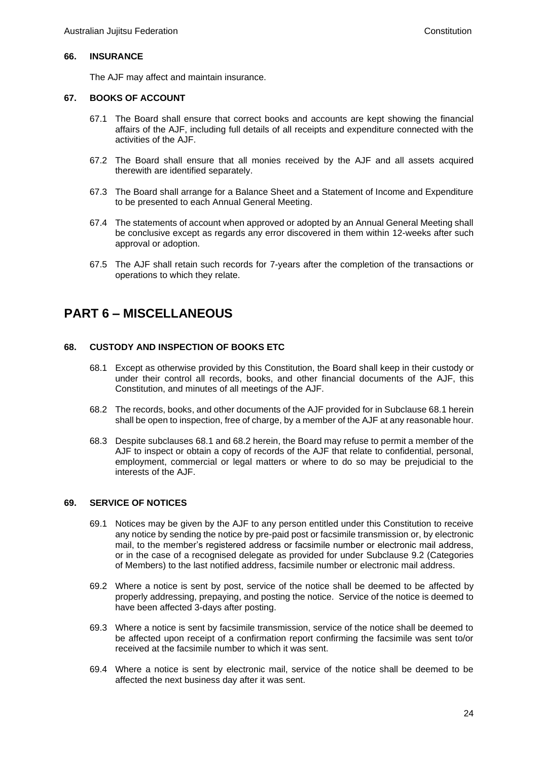#### **66. INSURANCE**

The AJF may affect and maintain insurance.

#### **67. BOOKS OF ACCOUNT**

- 67.1 The Board shall ensure that correct books and accounts are kept showing the financial affairs of the AJF, including full details of all receipts and expenditure connected with the activities of the AJF.
- 67.2 The Board shall ensure that all monies received by the AJF and all assets acquired therewith are identified separately.
- 67.3 The Board shall arrange for a Balance Sheet and a Statement of Income and Expenditure to be presented to each Annual General Meeting.
- 67.4 The statements of account when approved or adopted by an Annual General Meeting shall be conclusive except as regards any error discovered in them within 12-weeks after such approval or adoption.
- 67.5 The AJF shall retain such records for 7-years after the completion of the transactions or operations to which they relate.

# **PART 6 – MISCELLANEOUS**

#### **68. CUSTODY AND INSPECTION OF BOOKS ETC**

- 68.1 Except as otherwise provided by this Constitution, the Board shall keep in their custody or under their control all records, books, and other financial documents of the AJF, this Constitution, and minutes of all meetings of the AJF.
- 68.2 The records, books, and other documents of the AJF provided for in Subclause 68.1 herein shall be open to inspection, free of charge, by a member of the AJF at any reasonable hour.
- 68.3 Despite subclauses 68.1 and 68.2 herein, the Board may refuse to permit a member of the AJF to inspect or obtain a copy of records of the AJF that relate to confidential, personal, employment, commercial or legal matters or where to do so may be prejudicial to the interests of the AJF.

#### **69. SERVICE OF NOTICES**

- 69.1 Notices may be given by the AJF to any person entitled under this Constitution to receive any notice by sending the notice by pre-paid post or facsimile transmission or, by electronic mail, to the member's registered address or facsimile number or electronic mail address, or in the case of a recognised delegate as provided for under Subclause 9.2 (Categories of Members) to the last notified address, facsimile number or electronic mail address.
- 69.2 Where a notice is sent by post, service of the notice shall be deemed to be affected by properly addressing, prepaying, and posting the notice. Service of the notice is deemed to have been affected 3-days after posting.
- 69.3 Where a notice is sent by facsimile transmission, service of the notice shall be deemed to be affected upon receipt of a confirmation report confirming the facsimile was sent to/or received at the facsimile number to which it was sent.
- 69.4 Where a notice is sent by electronic mail, service of the notice shall be deemed to be affected the next business day after it was sent.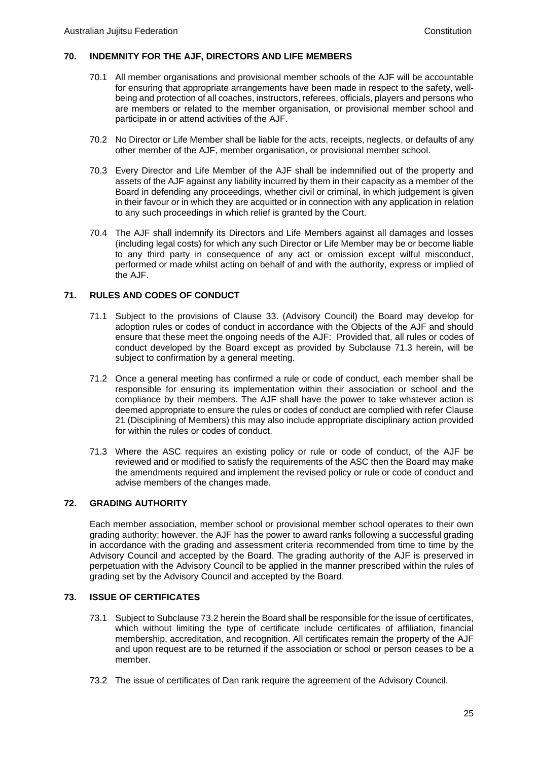### **70. INDEMNITY FOR THE AJF, DIRECTORS AND LIFE MEMBERS**

- 70.1 All member organisations and provisional member schools of the AJF will be accountable for ensuring that appropriate arrangements have been made in respect to the safety, wellbeing and protection of all coaches, instructors, referees, officials, players and persons who are members or related to the member organisation, or provisional member school and participate in or attend activities of the AJF.
- 70.2 No Director or Life Member shall be liable for the acts, receipts, neglects, or defaults of any other member of the AJF, member organisation, or provisional member school.
- 70.3 Every Director and Life Member of the AJF shall be indemnified out of the property and assets of the AJF against any liability incurred by them in their capacity as a member of the Board in defending any proceedings, whether civil or criminal, in which judgement is given in their favour or in which they are acquitted or in connection with any application in relation to any such proceedings in which relief is granted by the Court.
- 70.4 The AJF shall indemnify its Directors and Life Members against all damages and losses (including legal costs) for which any such Director or Life Member may be or become liable to any third party in consequence of any act or omission except wilful misconduct, performed or made whilst acting on behalf of and with the authority, express or implied of the AJF.

# **71. RULES AND CODES OF CONDUCT**

- 71.1 Subject to the provisions of Clause 33. (Advisory Council) the Board may develop for adoption rules or codes of conduct in accordance with the Objects of the AJF and should ensure that these meet the ongoing needs of the AJF: Provided that, all rules or codes of conduct developed by the Board except as provided by Subclause 71.3 herein, will be subject to confirmation by a general meeting.
- 71.2 Once a general meeting has confirmed a rule or code of conduct, each member shall be responsible for ensuring its implementation within their association or school and the compliance by their members. The AJF shall have the power to take whatever action is deemed appropriate to ensure the rules or codes of conduct are complied with refer Clause 21 (Disciplining of Members) this may also include appropriate disciplinary action provided for within the rules or codes of conduct.
- 71.3 Where the ASC requires an existing policy or rule or code of conduct, of the AJF be reviewed and or modified to satisfy the requirements of the ASC then the Board may make the amendments required and implement the revised policy or rule or code of conduct and advise members of the changes made.

# **72. GRADING AUTHORITY**

Each member association, member school or provisional member school operates to their own grading authority; however, the AJF has the power to award ranks following a successful grading in accordance with the grading and assessment criteria recommended from time to time by the Advisory Council and accepted by the Board. The grading authority of the AJF is preserved in perpetuation with the Advisory Council to be applied in the manner prescribed within the rules of grading set by the Advisory Council and accepted by the Board.

# **73. ISSUE OF CERTIFICATES**

- 73.1 Subject to Subclause 73.2 herein the Board shall be responsible for the issue of certificates, which without limiting the type of certificate include certificates of affiliation, financial membership, accreditation, and recognition. All certificates remain the property of the AJF and upon request are to be returned if the association or school or person ceases to be a member.
- 73.2 The issue of certificates of Dan rank require the agreement of the Advisory Council.